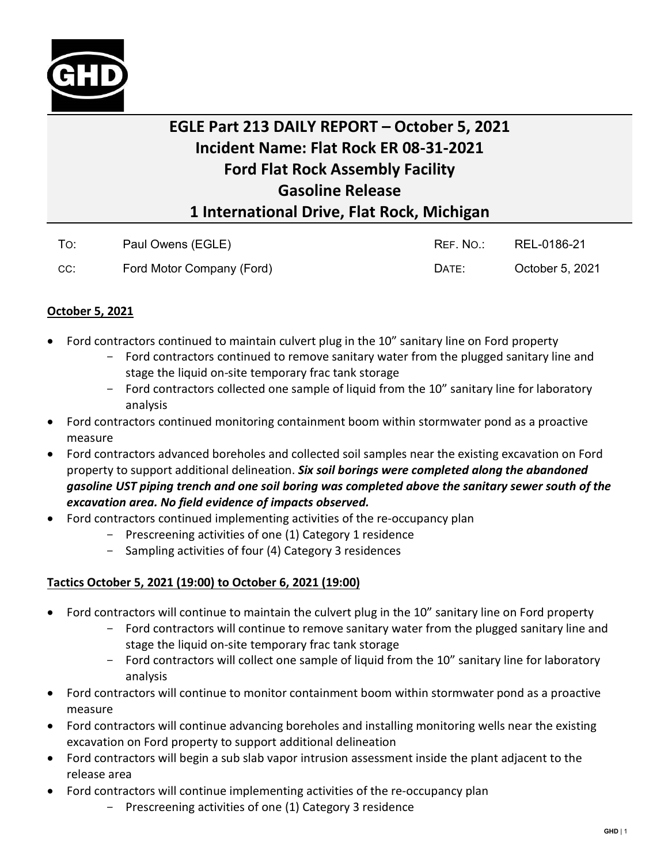

## **EGLE Part 213 DAILY REPORT – October 5, 2021 Incident Name: Flat Rock ER 08-31-2021 Ford Flat Rock Assembly Facility Gasoline Release 1 International Drive, Flat Rock, Michigan**

| To: | Paul Owens (EGLE)         | REF. NO.: | REL-0186-21     |
|-----|---------------------------|-----------|-----------------|
| CC: | Ford Motor Company (Ford) | DATE:     | October 5, 2021 |

## **October 5, 2021**

- Ford contractors continued to maintain culvert plug in the 10" sanitary line on Ford property
	- Ford contractors continued to remove sanitary water from the plugged sanitary line and stage the liquid on-site temporary frac tank storage
	- Ford contractors collected one sample of liquid from the 10" sanitary line for laboratory analysis
- Ford contractors continued monitoring containment boom within stormwater pond as a proactive measure
- Ford contractors advanced boreholes and collected soil samples near the existing excavation on Ford property to support additional delineation. *Six soil borings were completed along the abandoned gasoline UST piping trench and one soil boring was completed above the sanitary sewer south of the excavation area. No field evidence of impacts observed.*
- Ford contractors continued implementing activities of the re-occupancy plan
	- Prescreening activities of one (1) Category 1 residence
	- Sampling activities of four (4) Category 3 residences

## **Tactics October 5, 2021 (19:00) to October 6, 2021 (19:00)**

- Ford contractors will continue to maintain the culvert plug in the 10" sanitary line on Ford property
	- Ford contractors will continue to remove sanitary water from the plugged sanitary line and stage the liquid on-site temporary frac tank storage
	- Ford contractors will collect one sample of liquid from the 10" sanitary line for laboratory analysis
- Ford contractors will continue to monitor containment boom within stormwater pond as a proactive measure
- Ford contractors will continue advancing boreholes and installing monitoring wells near the existing excavation on Ford property to support additional delineation
- Ford contractors will begin a sub slab vapor intrusion assessment inside the plant adjacent to the release area
- Ford contractors will continue implementing activities of the re-occupancy plan
	- Prescreening activities of one (1) Category 3 residence